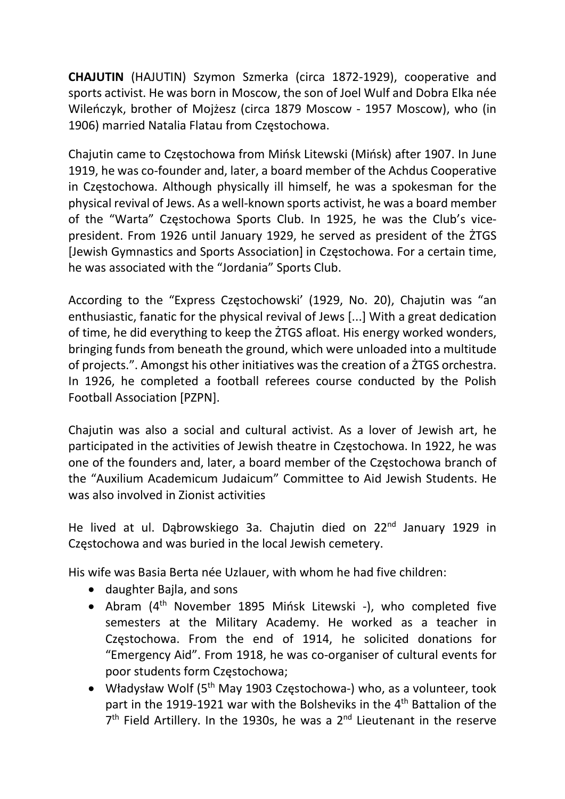CHAJUTIN (HAJUTIN) Szymon Szmerka (circa 1872-1929), cooperative and sports activist. He was born in Moscow, the son of Joel Wulf and Dobra Elka née Wileńczyk, brother of Mojżesz (circa 1879 Moscow - 1957 Moscow), who (in 1906) married Natalia Flatau from Częstochowa.

Chajutin came to Częstochowa from Mińsk Litewski (Mińsk) after 1907. In June 1919, he was co-founder and, later, a board member of the Achdus Cooperative in Częstochowa. Although physically ill himself, he was a spokesman for the physical revival of Jews. As a well-known sports activist, he was a board member of the "Warta" Częstochowa Sports Club. In 1925, he was the Club's vicepresident. From 1926 until January 1929, he served as president of the ŻTGS [Jewish Gymnastics and Sports Association] in Częstochowa. For a certain time, he was associated with the "Jordania" Sports Club.

According to the "Express Częstochowski' (1929, No. 20), Chajutin was "an enthusiastic, fanatic for the physical revival of Jews [...] With a great dedication of time, he did everything to keep the ŻTGS afloat. His energy worked wonders, bringing funds from beneath the ground, which were unloaded into a multitude of projects.". Amongst his other initiatives was the creation of a ŻTGS orchestra. In 1926, he completed a football referees course conducted by the Polish Football Association [PZPN].

Chajutin was also a social and cultural activist. As a lover of Jewish art, he participated in the activities of Jewish theatre in Częstochowa. In 1922, he was one of the founders and, later, a board member of the Częstochowa branch of the "Auxilium Academicum Judaicum" Committee to Aid Jewish Students. He was also involved in Zionist activities

He lived at ul. Dabrowskiego 3a. Chajutin died on 22<sup>nd</sup> January 1929 in Częstochowa and was buried in the local Jewish cemetery.

His wife was Basia Berta née Uzlauer, with whom he had five children:

- daughter Bajla, and sons
- Abram (4<sup>th</sup> November 1895 Mińsk Litewski -), who completed five semesters at the Military Academy. He worked as a teacher in Częstochowa. From the end of 1914, he solicited donations for "Emergency Aid". From 1918, he was co-organiser of cultural events for poor students form Częstochowa;
- Władysław Wolf  $(5<sup>th</sup>$  May 1903 Częstochowa-) who, as a volunteer, took part in the 1919-1921 war with the Bolsheviks in the 4<sup>th</sup> Battalion of the  $7<sup>th</sup>$  Field Artillery. In the 1930s, he was a  $2<sup>nd</sup>$  Lieutenant in the reserve